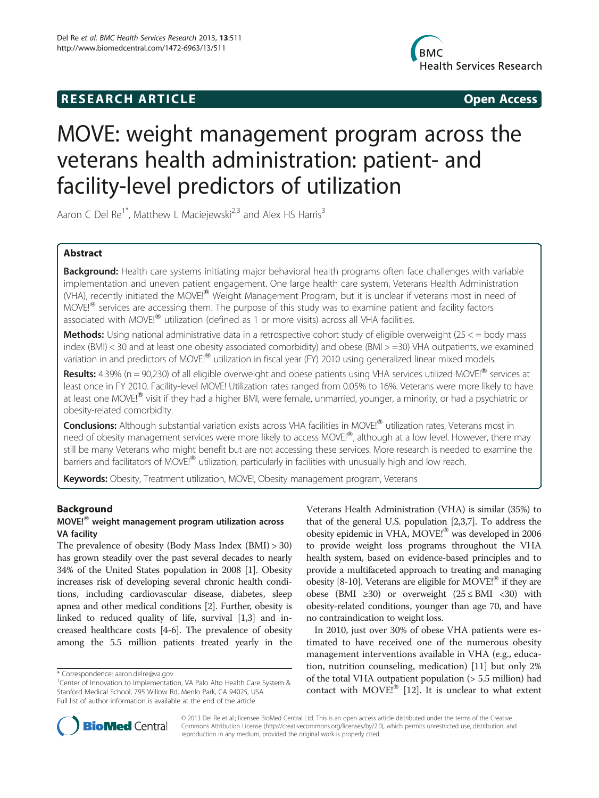## **RESEARCH ARTICLE Example 2018 12:00 Open Access**



# MOVE: weight management program across the veterans health administration: patient- and facility-level predictors of utilization

Aaron C Del Re<sup>1\*</sup>, Matthew L Maciejewski<sup>2,3</sup> and Alex HS Harris<sup>3</sup>

## Abstract

Background: Health care systems initiating major behavioral health programs often face challenges with variable implementation and uneven patient engagement. One large health care system, Veterans Health Administration (VHA), recently initiated the MOVE!<sup>®</sup> Weight Management Program, but it is unclear if veterans most in need of  $MOVEI<sup>®</sup>$  services are accessing them. The purpose of this study was to examine patient and facility factors associated with MOVE! $^{\circledR}$  utilization (defined as 1 or more visits) across all VHA facilities.

Methods: Using national administrative data in a retrospective cohort study of eligible overweight (25 < = body mass index (BMI) < 30 and at least one obesity associated comorbidity) and obese (BMI > =30) VHA outpatients, we examined variation in and predictors of MOVE!<sup>®</sup> utilization in fiscal year (FY) 2010 using generalized linear mixed models.

Results: 4.39% (n = 90,230) of all eligible overweight and obese patients using VHA services utilized MOVE!<sup>®</sup> services at least once in FY 2010. Facility-level MOVE! Utilization rates ranged from 0.05% to 16%. Veterans were more likely to have at least one MOVE!<sup>®</sup> visit if they had a higher BMI, were female, unmarried, younger, a minority, or had a psychiatric or obesity-related comorbidity.

Conclusions: Although substantial variation exists across VHA facilities in MOVE!<sup>®</sup> utilization rates, Veterans most in need of obesity management services were more likely to access MOVE!<sup>®</sup>, although at a low level. However, there may still be many Veterans who might benefit but are not accessing these services. More research is needed to examine the barriers and facilitators of MOVE!<sup>®</sup> utilization, particularly in facilities with unusually high and low reach.

Keywords: Obesity, Treatment utilization, MOVE!, Obesity management program, Veterans

## Background

## $MOVEI<sup>®</sup>$  weight management program utilization across VA facility

The prevalence of obesity (Body Mass Index (BMI) > 30) has grown steadily over the past several decades to nearly 34% of the United States population in 2008 [[1](#page-6-0)]. Obesity increases risk of developing several chronic health conditions, including cardiovascular disease, diabetes, sleep apnea and other medical conditions [\[2](#page-6-0)]. Further, obesity is linked to reduced quality of life, survival [\[1,3\]](#page-6-0) and increased healthcare costs [\[4-6](#page-6-0)]. The prevalence of obesity among the 5.5 million patients treated yearly in the Veterans Health Administration (VHA) is similar (35%) to that of the general U.S. population [\[2,3,7\]](#page-6-0). To address the obesity epidemic in VHA, MOVE!<sup>®</sup> was developed in 2006 to provide weight loss programs throughout the VHA health system, based on evidence-based principles and to provide a multifaceted approach to treating and managing obesity [\[8-10\]](#page-6-0). Veterans are eligible for MOVE!<sup>®</sup> if they are obese (BMI ≥30) or overweight  $(25 ≤ BMI < 30)$  with obesity-related conditions, younger than age 70, and have no contraindication to weight loss.

In 2010, just over 30% of obese VHA patients were estimated to have received one of the numerous obesity management interventions available in VHA (e.g., education, nutrition counseling, medication) [[11\]](#page-6-0) but only 2% of the total VHA outpatient population (> 5.5 million) had contact with MOVE! $^{\circledR}$  [\[12\]](#page-6-0). It is unclear to what extent



© 2013 Del Re et al.; licensee BioMed Central Ltd. This is an open access article distributed under the terms of the Creative Commons Attribution License [\(http://creativecommons.org/licenses/by/2.0\)](http://creativecommons.org/licenses/by/2.0), which permits unrestricted use, distribution, and reproduction in any medium, provided the original work is properly cited.

<sup>\*</sup> Correspondence: [aaron.delre@va.gov](mailto:aaron.delre@va.gov) <sup>1</sup>

<sup>&</sup>lt;sup>1</sup> Center of Innovation to Implementation, VA Palo Alto Health Care System & Stanford Medical School, 795 Willow Rd, Menlo Park, CA 94025, USA Full list of author information is available at the end of the article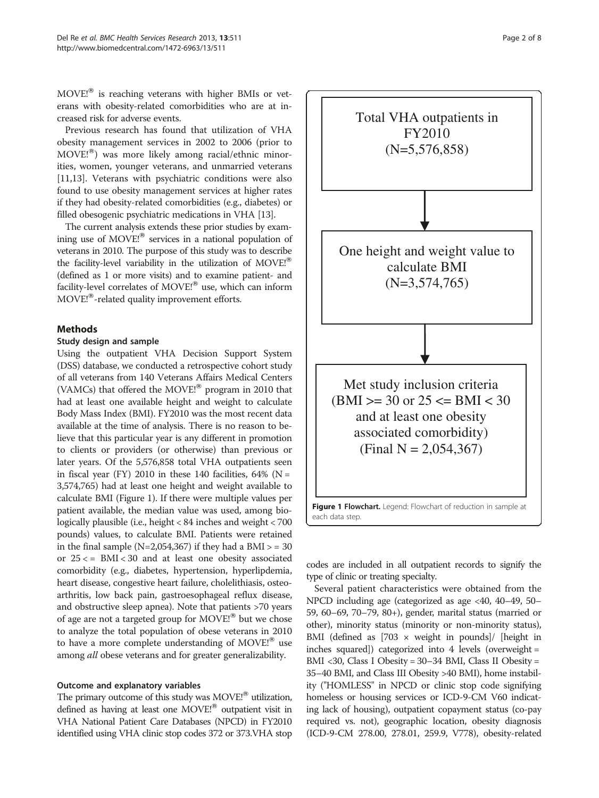$MOVE<sup>®</sup>$  is reaching veterans with higher BMIs or veterans with obesity-related comorbidities who are at increased risk for adverse events.

Previous research has found that utilization of VHA obesity management services in 2002 to 2006 (prior to  $MOVEI^{(8)}$  was more likely among racial/ethnic minorities, women, younger veterans, and unmarried veterans [[11,13\]](#page-6-0). Veterans with psychiatric conditions were also found to use obesity management services at higher rates if they had obesity-related comorbidities (e.g., diabetes) or filled obesogenic psychiatric medications in VHA [\[13](#page-6-0)].

The current analysis extends these prior studies by examining use of  $MOVE<sup>1</sup>$  services in a national population of veterans in 2010. The purpose of this study was to describe the facility-level variability in the utilization of  $MOVE<sup>18</sup>$ (defined as 1 or more visits) and to examine patient- and facility-level correlates of MOVE!<sup>®</sup> use, which can inform MOVE!<sup>®</sup>-related quality improvement efforts.

## Methods

#### Study design and sample

Using the outpatient VHA Decision Support System (DSS) database, we conducted a retrospective cohort study of all veterans from 140 Veterans Affairs Medical Centers (VAMCs) that offered the MOVE! $^{\circledR}$  program in 2010 that had at least one available height and weight to calculate Body Mass Index (BMI). FY2010 was the most recent data available at the time of analysis. There is no reason to believe that this particular year is any different in promotion to clients or providers (or otherwise) than previous or later years. Of the 5,576,858 total VHA outpatients seen in fiscal year (FY) 2010 in these 140 facilities,  $64\%$  (N = 3,574,765) had at least one height and weight available to calculate BMI (Figure 1). If there were multiple values per patient available, the median value was used, among biologically plausible (i.e., height < 84 inches and weight < 700 pounds) values, to calculate BMI. Patients were retained in the final sample  $(N=2,054,367)$  if they had a BMI  $>$  = 30 or  $25 \leq$  BMI $\leq$  30 and at least one obesity associated comorbidity (e.g., diabetes, hypertension, hyperlipdemia, heart disease, congestive heart failure, cholelithiasis, osteoarthritis, low back pain, gastroesophageal reflux disease, and obstructive sleep apnea). Note that patients >70 years of age are not a targeted group for  $MOVE<sup>18</sup>$  but we chose to analyze the total population of obese veterans in 2010 to have a more complete understanding of MOVE! $^{\circledR}$  use among all obese veterans and for greater generalizability.

#### Outcome and explanatory variables

The primary outcome of this study was  $MOVE<sup>®</sup>$  utilization, defined as having at least one MOVE!<sup>®</sup> outpatient visit in VHA National Patient Care Databases (NPCD) in FY2010 identified using VHA clinic stop codes 372 or 373.VHA stop



codes are included in all outpatient records to signify the type of clinic or treating specialty.

Several patient characteristics were obtained from the NPCD including age (categorized as age <40, 40–49, 50– 59, 60–69, 70–79, 80+), gender, marital status (married or other), minority status (minority or non-minority status), BMI (defined as  $[703 \times \text{weight in pounds}]$  [height in inches squared]) categorized into 4 levels (overweight = BMI <30, Class I Obesity = 30–34 BMI, Class II Obesity = 35–40 BMI, and Class III Obesity >40 BMI), home instability ("HOMLESS" in NPCD or clinic stop code signifying homeless or housing services or ICD-9-CM V60 indicating lack of housing), outpatient copayment status (co-pay required vs. not), geographic location, obesity diagnosis (ICD-9-CM 278.00, 278.01, 259.9, V778), obesity-related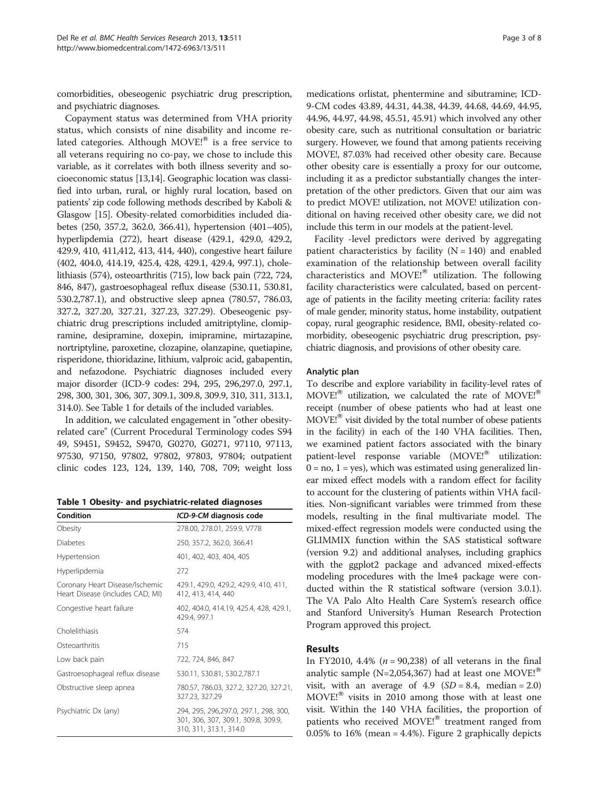comorbidities, obeseogenic psychiatric drug prescription, and psychiatric diagnoses.

Copayment status was determined from VHA priority status, which consists of nine disability and income related categories. Although  $MOVE!^{\circledR}$  is a free service to all veterans requiring no co-pay, we chose to include this variable, as it correlates with both illness severity and socioeconomic status [[13,14\]](#page-6-0). Geographic location was classified into urban, rural, or highly rural location, based on patients' zip code following methods described by Kaboli & Glasgow [\[15\]](#page-6-0). Obesity-related comorbidities included diabetes (250, 357.2, 362.0, 366.41), hypertension (401–405), hyperlipdemia (272), heart disease (429.1, 429.0, 429.2, 429.9, 410, 411,412, 413, 414, 440), congestive heart failure (402, 404.0, 414.19, 425.4, 428, 429.1, 429.4, 997.1), cholelithiasis (574), osteoarthritis (715), low back pain (722, 724, 846, 847), gastroesophageal reflux disease (530.11, 530.81, 530.2,787.1), and obstructive sleep apnea (780.57, 786.03, 327.2, 327.20, 327.21, 327.23, 327.29). Obeseogenic psychiatric drug prescriptions included amitriptyline, clomipramine, desipramine, doxepin, imipramine, mirtazapine, nortriptyline, paroxetine, clozapine, olanzapine, quetiapine, risperidone, thioridazine, lithium, valproic acid, gabapentin, and nefazodone. Psychiatric diagnoses included every major disorder (ICD-9 codes: 294, 295, 296,297.0, 297.1, 298, 300, 301, 306, 307, 309.1, 309.8, 309.9, 310, 311, 313.1, 314.0). See Table 1 for details of the included variables.

In addition, we calculated engagement in "other obesityrelated care" (Current Procedural Terminology codes S94 49, S9451, S9452, S9470, G0270, G0271, 97110, 97113, 97530, 97150, 97802, 97802, 97803, 97804; outpatient clinic codes 123, 124, 139, 140, 708, 709; weight loss

Table 1 Obesity- and psychiatric-related diagnoses

| Condition                                                           | ICD-9-CM diagnosis code                                                                                |  |
|---------------------------------------------------------------------|--------------------------------------------------------------------------------------------------------|--|
| Obesity                                                             | 278.00, 278.01, 259.9, V778                                                                            |  |
| Diabetes                                                            | 250, 357.2, 362.0, 366.41                                                                              |  |
| Hypertension                                                        | 401, 402, 403, 404, 405                                                                                |  |
| Hyperlipdemia                                                       | 272                                                                                                    |  |
| Coronary Heart Disease/Ischemic<br>Heart Disease (includes CAD, MI) | 429.1, 429.0, 429.2, 429.9, 410, 411,<br>412, 413, 414, 440                                            |  |
| Congestive heart failure                                            | 402, 404.0, 414.19, 425.4, 428, 429.1,<br>429.4, 997.1                                                 |  |
| Cholelithiasis                                                      | 574                                                                                                    |  |
| Osteoarthritis                                                      | 715                                                                                                    |  |
| Low back pain                                                       | 722, 724, 846, 847                                                                                     |  |
| Gastroesophageal reflux disease                                     | 530.11, 530.81, 530.2,787.1                                                                            |  |
| Obstructive sleep apnea                                             | 780.57, 786.03, 327.2, 327.20, 327.21,<br>327.23, 327.29                                               |  |
| Psychiatric Dx (any)                                                | 294, 295, 296,297.0, 297.1, 298, 300,<br>301, 306, 307, 309.1, 309.8, 309.9,<br>310, 311, 313.1, 314.0 |  |

medications orlistat, phentermine and sibutramine; ICD-9-CM codes 43.89, 44.31, 44.38, 44.39, 44.68, 44.69, 44.95, 44.96, 44.97, 44.98, 45.51, 45.91) which involved any other obesity care, such as nutritional consultation or bariatric surgery. However, we found that among patients receiving MOVE!, 87.03% had received other obesity care. Because other obesity care is essentially a proxy for our outcome, including it as a predictor substantially changes the interpretation of the other predictors. Given that our aim was to predict MOVE! utilization, not MOVE! utilization conditional on having received other obesity care, we did not include this term in our models at the patient-level.

Facility -level predictors were derived by aggregating patient characteristics by facility  $(N = 140)$  and enabled examination of the relationship between overall facility characteristics and MOVE! $^{\circledR}$  utilization. The following facility characteristics were calculated, based on percentage of patients in the facility meeting criteria: facility rates of male gender, minority status, home instability, outpatient copay, rural geographic residence, BMI, obesity-related comorbidity, obeseogenic psychiatric drug prescription, psychiatric diagnosis, and provisions of other obesity care.

#### Analytic plan

To describe and explore variability in facility-level rates of  $MOVE<sup>®</sup>$  utilization, we calculated the rate of MOVE!<sup>®</sup> receipt (number of obese patients who had at least one  $MOVE<sup>®</sup>$  visit divided by the total number of obese patients in the facility) in each of the 140 VHA facilities. Then, we examined patient factors associated with the binary patient-level response variable (MOVE!<sup>®</sup> utilization:  $0 = no, 1 = yes$ , which was estimated using generalized linear mixed effect models with a random effect for facility to account for the clustering of patients within VHA facilities. Non-significant variables were trimmed from these models, resulting in the final multivariate model. The mixed-effect regression models were conducted using the GLIMMIX function within the SAS statistical software (version 9.2) and additional analyses, including graphics with the ggplot2 package and advanced mixed-effects modeling procedures with the lme4 package were conducted within the R statistical software (version 3.0.1). The VA Palo Alto Health Care System's research office and Stanford University's Human Research Protection Program approved this project.

## Results

In FY2010, 4.4% ( $n = 90,238$ ) of all veterans in the final analytic sample (N=2,054,367) had at least one MOVE!<sup>®</sup> visit, with an average of 4.9  $(SD = 8.4, \text{ median} = 2.0)$  $MOVEI^{8}$  visits in 2010 among those with at least one visit. Within the 140 VHA facilities, the proportion of patients who received MOVE!<sup>®</sup> treatment ranged from 0.05% to 16% (mean = 4.4%). Figure [2](#page-3-0) graphically depicts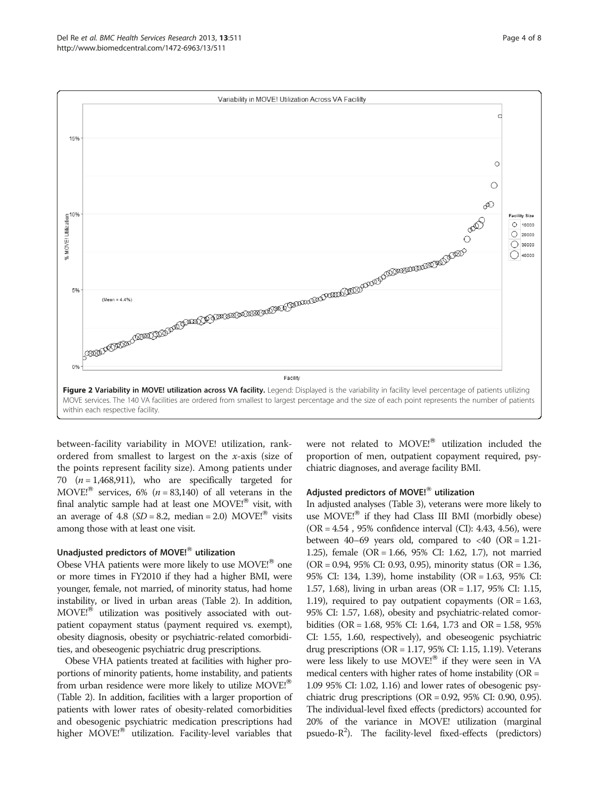<span id="page-3-0"></span>

between-facility variability in MOVE! utilization, rankordered from smallest to largest on the x-axis (size of the points represent facility size). Among patients under 70  $(n = 1,468,911)$ , who are specifically targeted for MOVE!<sup>®</sup> services, 6% ( $n = 83,140$ ) of all veterans in the final analytic sample had at least one  $MOVE!^{®}$  visit, with an average of 4.8 ( $SD = 8.2$ , median = 2.0) MOVE!<sup>®</sup> visits among those with at least one visit.

#### Unadjusted predictors of MOVE! $^{\circ\circ}$  utilization

Obese VHA patients were more likely to use  $MOVE<sup>{8}</sup>$  one or more times in FY2010 if they had a higher BMI, were younger, female, not married, of minority status, had home instability, or lived in urban areas (Table [2\)](#page-4-0). In addition, MOVE!<sup>®</sup> utilization was positively associated with outpatient copayment status (payment required vs. exempt), obesity diagnosis, obesity or psychiatric-related comorbidities, and obeseogenic psychiatric drug prescriptions.

Obese VHA patients treated at facilities with higher proportions of minority patients, home instability, and patients from urban residence were more likely to utilize MOVE!<sup>®</sup> (Table [2](#page-4-0)). In addition, facilities with a larger proportion of patients with lower rates of obesity-related comorbidities and obesogenic psychiatric medication prescriptions had higher MOVE!<sup>®</sup> utilization. Facility-level variables that

were not related to MOVE!<sup>®</sup> utilization included the proportion of men, outpatient copayment required, psychiatric diagnoses, and average facility BMI.

#### Adjusted predictors of MOVE!<sup>®</sup> utilization

In adjusted analyses (Table [3](#page-4-0)), veterans were more likely to use  $MOVE<sup>18</sup>$  if they had Class III BMI (morbidly obese) (OR = 4.54 , 95% confidence interval (CI): 4.43, 4.56), were between 40–69 years old, compared to  $\langle 40 \rangle$  (OR = 1.21-1.25), female (OR = 1.66, 95% CI: 1.62, 1.7), not married (OR = 0.94, 95% CI: 0.93, 0.95), minority status (OR = 1.36, 95% CI: 134, 1.39), home instability (OR = 1.63, 95% CI: 1.57, 1.68), living in urban areas (OR = 1.17, 95% CI: 1.15, 1.19), required to pay outpatient copayments ( $OR = 1.63$ , 95% CI: 1.57, 1.68), obesity and psychiatric-related comorbidities (OR = 1.68, 95% CI: 1.64, 1.73 and OR = 1.58, 95% CI: 1.55, 1.60, respectively), and obeseogenic psychiatric drug prescriptions (OR = 1.17, 95% CI: 1.15, 1.19). Veterans were less likely to use  $MOVE!^{®}$  if they were seen in VA medical centers with higher rates of home instability (OR = 1.09 95% CI: 1.02, 1.16) and lower rates of obesogenic psychiatric drug prescriptions (OR = 0.92, 95% CI: 0.90, 0.95). The individual-level fixed effects (predictors) accounted for 20% of the variance in MOVE! utilization (marginal psuedo-R<sup>2</sup>). The facility-level fixed-effects (predictors)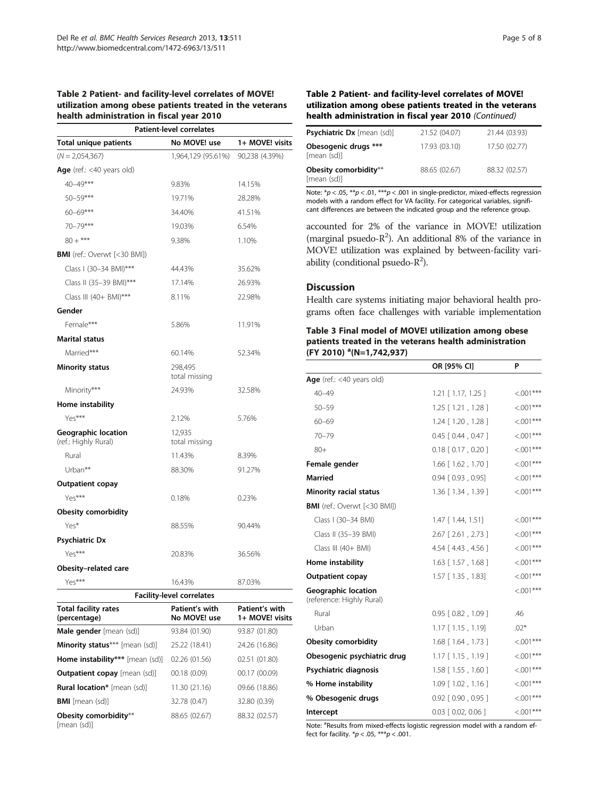#### <span id="page-4-0"></span>Table 2 Patient- and facility-level correlates of MOVE! utilization among obese patients treated in the veterans health administration in fiscal year 2010

|                                             | <b>Patient-level correlates</b>  |                                   |
|---------------------------------------------|----------------------------------|-----------------------------------|
| <b>Total unique patients</b>                | No MOVE! use                     | 1+ MOVE! visits                   |
| $(N = 2,054,367)$                           | 1,964,129 (95.61%)               | 90,238 (4.39%)                    |
| <b>Age</b> (ref.: <40 years old)            |                                  |                                   |
| 40-49***                                    | 9.83%                            | 14.15%                            |
| $50 - 59***$                                | 19.71%                           | 28.28%                            |
| $60 - 69***$                                | 34.40%                           | 41.51%                            |
| 70-79***                                    | 19.03%                           | 6.54%                             |
| $80 +$ ***                                  | 9.38%                            | 1.10%                             |
| <b>BMI</b> (ref.: Overwt [<30 BMI])         |                                  |                                   |
| Class I (30-34 BMI)***                      | 44.43%                           | 35.62%                            |
| Class II (35-39 BMI)***                     | 17.14%                           | 26.93%                            |
| Class III (40+ BMI)***                      | 8.11%                            | 22.98%                            |
| Gender                                      |                                  |                                   |
| Female***                                   | 5.86%                            | 11.91%                            |
| <b>Marital status</b>                       |                                  |                                   |
| Married***                                  | 60.14%                           | 52.34%                            |
| <b>Minority status</b>                      | 298,495<br>total missing         |                                   |
| Minority***                                 | 24.93%                           | 32.58%                            |
| Home instability                            |                                  |                                   |
| Yes***                                      | 2.12%                            | 5.76%                             |
| Geographic location<br>(ref.: Highly Rural) | 12,935<br>total missing          |                                   |
| Rural                                       | 11.43%                           | 8.39%                             |
| Urban**                                     | 88.30%                           | 91.27%                            |
| <b>Outpatient copay</b>                     |                                  |                                   |
| Yes***                                      | 0.18%                            | 0.23%                             |
| <b>Obesity comorbidity</b>                  |                                  |                                   |
| Yes*                                        | 88.55%                           | 90.44%                            |
| <b>Psychiatric Dx</b>                       |                                  |                                   |
| Yes***                                      | 20.83%                           | 36.56%                            |
| Obesity-related care                        |                                  |                                   |
| Yes***                                      | 16.43%                           | 87.03%                            |
|                                             | <b>Facility-level correlates</b> |                                   |
| <b>Total facility rates</b><br>(percentage) | Patient's with<br>No MOVE! use   | Patient's with<br>1+ MOVE! visits |
| Male gender [mean (sd)]                     | 93.84 (01.90)                    | 93.87 (01.80)                     |
| <b>Minority status</b> *** [mean (sd)]      | 25.22 (18.41)                    | 24.26 (16.86)                     |
| Home instability*** [mean (sd)]             | 02.26 (01.56)                    | 02.51 (01.80)                     |
| Outpatient copay [mean (sd)]                | 00.18(0.09)                      | 00.17 (00.09)                     |
| <b>Rural location*</b> [mean (sd)]          | 11.30 (21.16)                    | 09.66 (18.86)                     |
| <b>BMI</b> [mean (sd)]                      | 32.78 (0.47)                     | 32.80 (0.39)                      |

88.65 (02.67) 88.32 (02.57)

Obesity comorbidity\*\*

[mean (sd)]

#### Table 2 Patient- and facility-level correlates of MOVE! utilization among obese patients treated in the veterans health administration in fiscal year 2010 (Continued)

| <b>Psychiatric Dx</b> [mean (sd)]    | 21.52 (04.07) | 21.44 (03.93) |
|--------------------------------------|---------------|---------------|
| Obesogenic drugs ***<br>[mean (sd)]  | 17.93 (03.10) | 17.50 (02.77) |
| Obesity comorbidity**<br>[mean (sd)] | 88.65 (02.67) | 88.32 (02.57) |

Note:  $p < .05$ ,  $p \times 0.01$ ,  $p \times p < .001$  in single-predictor, mixed-effects regression models with a random effect for VA facility. For categorical variables, significant differences are between the indicated group and the reference group.

accounted for 2% of the variance in MOVE! utilization (marginal psuedo- $R^2$ ). An additional 8% of the variance in MOVE! utilization was explained by between-facility variability (conditional psuedo- $R^2$ ).

## Discussion

Health care systems initiating major behavioral health programs often face challenges with variable implementation

## Table 3 Final model of MOVE! utilization among obese patients treated in the veterans health administration (FY 2010) <sup>a</sup>(N=1,742,937)

|                                                         | OR [95% CI]                | P           |
|---------------------------------------------------------|----------------------------|-------------|
| Age (ref.: <40 years old)                               |                            |             |
| $40 - 49$                                               | $1.21$ [ $1.17, 1.25$ ]    | $< 0.01***$ |
| $50 - 59$                                               | $1.25$ [ $1.21$ , $1.28$ ] | $< 0.01***$ |
| $60 - 69$                                               | $1.24$ [ $1.20$ , $1.28$ ] | $< 0.01***$ |
| $70 - 79$                                               | $0.45$ $[0.44, 0.47]$      | $< 0.01***$ |
| $80+$                                                   | $0.18$ $[0.17, 0.20]$      | $< 0.01***$ |
| Female gender                                           | 1.66 [1.62, 1.70]          | $< 0.01***$ |
| <b>Married</b>                                          | $0.94$ $[0.93, 0.95]$      | $< 0.01***$ |
| <b>Minority racial status</b>                           | 1.36 [1.34, 1.39]          | $< 0.01***$ |
| <b>BMI</b> (ref.: Overwt [<30 BMI])                     |                            |             |
| Class I (30-34 BMI)                                     | 1.47 [ 1.44, 1.51]         | $< 0.01***$ |
| Class II (35-39 BMI)                                    | $2.67$ [ $2.61$ , $2.73$ ] | $< 0.01***$ |
| Class III (40+ BMI)                                     | $4.54$ $[4.43, 4.56]$      | $< 0.01***$ |
| Home instability                                        | $1.63$ [ $1.57$ , $1.68$ ] | $< 0.01***$ |
| <b>Outpatient copay</b>                                 | 1.57 [ 1.35, 1.83]         | $< 0.01***$ |
| <b>Geographic location</b><br>(reference: Highly Rural) |                            | $<.001***$  |
| Rural                                                   | $0.95$ $[0.82, 1.09]$      | .46         |
| Urban                                                   | $1.17$ $[1.15, 1.19]$      | $.02*$      |
| <b>Obesity comorbidity</b>                              | 1.68 [ 1.64, 1.73 ]        | $<.001***$  |
| Obesogenic psychiatric drug                             | $1.17$ $[1.15, 1.19]$      | $< 0.01***$ |
| Psychiatric diagnosis                                   | $1.58$ [ $1.55$ , $1.60$ ] | $<.001***$  |
| % Home instability                                      | $1.09$ $[1.02, 1.16]$      | $<.001***$  |
| % Obesogenic drugs                                      | $0.92$ $[0.90, 0.95]$      | $< 0.01***$ |
| Intercept                                               | $0.03$ $[0.02, 0.06]$      | $<.001***$  |

Note: <sup>a</sup>Results from mixed-effects logistic regression model with a random effect for facility.  $*p < .05$ ,  $***p < .001$ .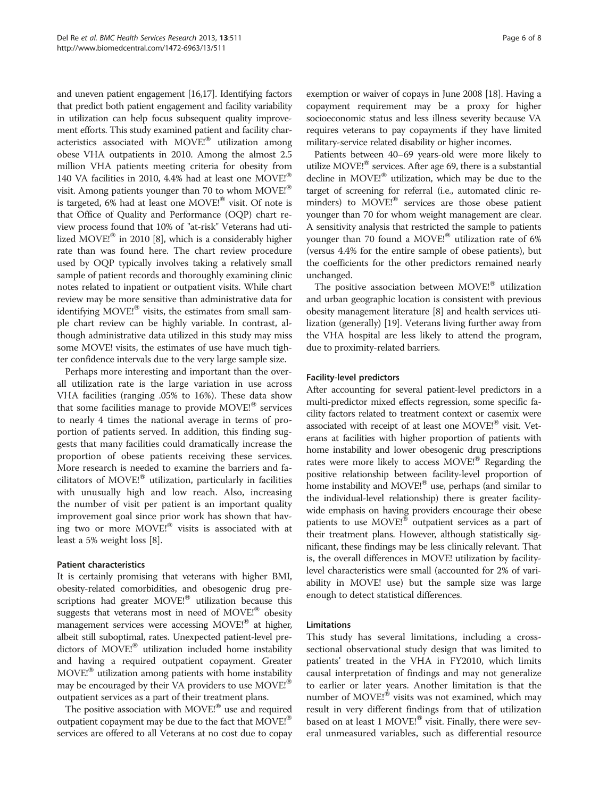and uneven patient engagement [\[16](#page-6-0)[,17\]](#page-7-0). Identifying factors that predict both patient engagement and facility variability in utilization can help focus subsequent quality improvement efforts. This study examined patient and facility characteristics associated with MOVE!<sup>®</sup> utilization among obese VHA outpatients in 2010. Among the almost 2.5 million VHA patients meeting criteria for obesity from 140 VA facilities in 2010, 4.4% had at least one MOVE! $^{\circ}$ visit. Among patients younger than 70 to whom  $MOVE<sup>®</sup>$ is targeted, 6% had at least one MOVE!<sup>®</sup> visit. Of note is that Office of Quality and Performance (OQP) chart review process found that 10% of "at-risk" Veterans had uti-lized MOVE!<sup>®</sup> in 2010 [[8\]](#page-6-0), which is a considerably higher rate than was found here. The chart review procedure used by OQP typically involves taking a relatively small sample of patient records and thoroughly examining clinic notes related to inpatient or outpatient visits. While chart review may be more sensitive than administrative data for identifying MOVE!<sup>®</sup> visits, the estimates from small sample chart review can be highly variable. In contrast, although administrative data utilized in this study may miss some MOVE! visits, the estimates of use have much tighter confidence intervals due to the very large sample size.

Perhaps more interesting and important than the overall utilization rate is the large variation in use across VHA facilities (ranging .05% to 16%). These data show that some facilities manage to provide  $MOVE!^{®}$  services to nearly 4 times the national average in terms of proportion of patients served. In addition, this finding suggests that many facilities could dramatically increase the proportion of obese patients receiving these services. More research is needed to examine the barriers and facilitators of MOVE! $^{\circledR}$  utilization, particularly in facilities with unusually high and low reach. Also, increasing the number of visit per patient is an important quality improvement goal since prior work has shown that having two or more  $MOVE<sup>18</sup>$  visits is associated with at least a 5% weight loss [\[8](#page-6-0)].

#### Patient characteristics

It is certainly promising that veterans with higher BMI, obesity-related comorbidities, and obesogenic drug prescriptions had greater MOVE!<sup>®</sup> utilization because this suggests that veterans most in need of  $MOVE<sup>18</sup>$  obesity management services were accessing MOVE!<sup>®</sup> at higher, albeit still suboptimal, rates. Unexpected patient-level predictors of  $MOVE<sup>18</sup>$  utilization included home instability and having a required outpatient copayment. Greater  $MOVE<sup>1</sup>$  utilization among patients with home instability may be encouraged by their VA providers to use MOVE!<sup>®</sup> outpatient services as a part of their treatment plans.

The positive association with  $MOVE<sup>j</sup><sub>®</sub>$  use and required outpatient copayment may be due to the fact that  $MOVE<sup>18</sup>$ services are offered to all Veterans at no cost due to copay exemption or waiver of copays in June 2008 [[18](#page-7-0)]. Having a copayment requirement may be a proxy for higher socioeconomic status and less illness severity because VA requires veterans to pay copayments if they have limited military-service related disability or higher incomes.

Patients between 40–69 years-old were more likely to utilize MOVE! $^{\circledR}$  services. After age 69, there is a substantial decline in MOVE! $^{\circledR}$  utilization, which may be due to the target of screening for referral (i.e., automated clinic reminders) to MOVE!<sup>®</sup> services are those obese patient younger than 70 for whom weight management are clear. A sensitivity analysis that restricted the sample to patients younger than 70 found a MOVE! $^{\circ}$  utilization rate of 6% (versus 4.4% for the entire sample of obese patients), but the coefficients for the other predictors remained nearly unchanged.

The positive association between  $MOVE!^{\circledR}$  utilization and urban geographic location is consistent with previous obesity management literature [\[8](#page-6-0)] and health services utilization (generally) [\[19\]](#page-7-0). Veterans living further away from the VHA hospital are less likely to attend the program, due to proximity-related barriers.

#### Facility-level predictors

After accounting for several patient-level predictors in a multi-predictor mixed effects regression, some specific facility factors related to treatment context or casemix were associated with receipt of at least one  $MOVE!^{®}$  visit. Veterans at facilities with higher proportion of patients with home instability and lower obesogenic drug prescriptions rates were more likely to access MOVE!<sup>®</sup> Regarding the positive relationship between facility-level proportion of home instability and MOVE!<sup>®</sup> use, perhaps (and similar to the individual-level relationship) there is greater facilitywide emphasis on having providers encourage their obese patients to use MOVE!<sup>®</sup> outpatient services as a part of their treatment plans. However, although statistically significant, these findings may be less clinically relevant. That is, the overall differences in MOVE! utilization by facilitylevel characteristics were small (accounted for 2% of variability in MOVE! use) but the sample size was large enough to detect statistical differences.

#### Limitations

This study has several limitations, including a crosssectional observational study design that was limited to patients' treated in the VHA in FY2010, which limits causal interpretation of findings and may not generalize to earlier or later years. Another limitation is that the number of  $MOVE<sup>18</sup>$  visits was not examined, which may result in very different findings from that of utilization based on at least 1 MOVE! $^{\circledR}$  visit. Finally, there were several unmeasured variables, such as differential resource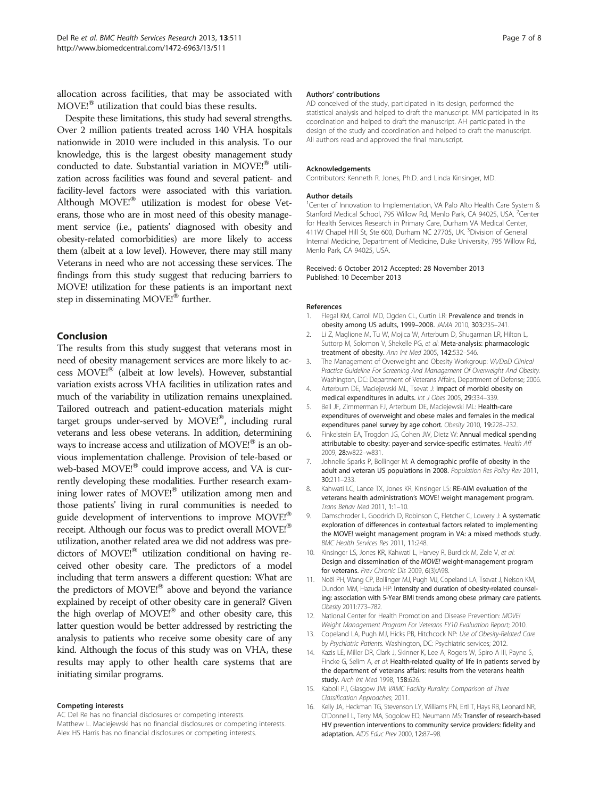<span id="page-6-0"></span>allocation across facilities, that may be associated with  $MOVE!^{\circledast}$  utilization that could bias these results.

Despite these limitations, this study had several strengths. Over 2 million patients treated across 140 VHA hospitals nationwide in 2010 were included in this analysis. To our knowledge, this is the largest obesity management study conducted to date. Substantial variation in MOVE! $^{\circledR}$  utilization across facilities was found and several patient- and facility-level factors were associated with this variation. Although MOVE!<sup>®</sup> utilization is modest for obese Veterans, those who are in most need of this obesity management service (i.e., patients' diagnosed with obesity and obesity-related comorbidities) are more likely to access them (albeit at a low level). However, there may still many Veterans in need who are not accessing these services. The findings from this study suggest that reducing barriers to MOVE! utilization for these patients is an important next step in disseminating  $MOVE!^{\circledR}$  further.

#### Conclusion

The results from this study suggest that veterans most in need of obesity management services are more likely to access MOVE!<sup>®</sup> (albeit at low levels). However, substantial variation exists across VHA facilities in utilization rates and much of the variability in utilization remains unexplained. Tailored outreach and patient-education materials might target groups under-served by  $MOVE<sup>18</sup>$ , including rural veterans and less obese veterans. In addition, determining ways to increase access and utilization of  $MOVE<sup>18</sup>$  is an obvious implementation challenge. Provision of tele-based or web-based MOVE!<sup>®</sup> could improve access, and VA is currently developing these modalities. Further research examining lower rates of MOVE!<sup>®</sup> utilization among men and those patients' living in rural communities is needed to guide development of interventions to improve MOVE!<sup>®</sup> receipt. Although our focus was to predict overall MOVE!<sup>®</sup> utilization, another related area we did not address was predictors of MOVE!<sup>®</sup> utilization conditional on having received other obesity care. The predictors of a model including that term answers a different question: What are the predictors of  $MOVE<sup>1</sup><sub>®</sub>$  above and beyond the variance explained by receipt of other obesity care in general? Given the high overlap of  $MOVE<sup>®</sup>$  and other obesity care, this latter question would be better addressed by restricting the analysis to patients who receive some obesity care of any kind. Although the focus of this study was on VHA, these results may apply to other health care systems that are initiating similar programs.

#### Competing interests

AC Del Re has no financial disclosures or competing interests. Matthew L. Maciejewski has no financial disclosures or competing interests. Alex HS Harris has no financial disclosures or competing interests.

#### Authors' contributions

AD conceived of the study, participated in its design, performed the statistical analysis and helped to draft the manuscript. MM participated in its coordination and helped to draft the manuscript. AH participated in the design of the study and coordination and helped to draft the manuscript. All authors read and approved the final manuscript.

#### Acknowledgements

Contributors: Kenneth R. Jones, Ph.D. and Linda Kinsinger, MD.

#### Author details

<sup>1</sup> Center of Innovation to Implementation, VA Palo Alto Health Care System & Stanford Medical School, 795 Willow Rd, Menlo Park, CA 94025, USA. <sup>2</sup>Center for Health Services Research in Primary Care, Durham VA Medical Center, 411W Chapel Hill St, Ste 600, Durham NC 27705, UK. <sup>3</sup> Division of General Internal Medicine, Department of Medicine, Duke University, 795 Willow Rd, Menlo Park, CA 94025, USA.

#### Received: 6 October 2012 Accepted: 28 November 2013 Published: 10 December 2013

#### References

- Flegal KM, Carroll MD, Ogden CL, Curtin LR: Prevalence and trends in obesity among US adults, 1999–2008. JAMA 2010, 303:235–241.
- 2. Li Z, Maglione M, Tu W, Mojica W, Arterburn D, Shugarman LR, Hilton L, Suttorp M, Solomon V, Shekelle PG, et al: Meta-analysis: pharmacologic treatment of obesity. Ann Int Med 2005, 142:532–546.
- 3. The Management of Overweight and Obesity Workgroup: VA/DoD Clinical Practice Guideline For Screening And Management Of Overweight And Obesity. Washington, DC: Department of Veterans Affairs, Department of Defense; 2006.
- 4. Arterburn DE, Maciejewski ML, Tsevat J: Impact of morbid obesity on medical expenditures in adults. Int J Obes 2005, 29:334–339.
- 5. Bell JF, Zimmerman FJ, Arterburn DE, Maciejewski ML: Health-care expenditures of overweight and obese males and females in the medical expenditures panel survey by age cohort. Obesity 2010, 19:228–232.
- 6. Finkelstein EA, Trogdon JG, Cohen JW, Dietz W: Annual medical spending attributable to obesity: payer-and service-specific estimates. Health Aff 2009, 28:w822–w831.
- 7. Johnelle Sparks P, Bollinger M: A demographic profile of obesity in the adult and veteran US populations in 2008. Population Res Policy Rev 2011, 30:211–233.
- 8. Kahwati LC, Lance TX, Jones KR, Kinsinger LS: RE-AIM evaluation of the veterans health administration's MOVE! weight management program. Trans Behav Med 2011, 1:1–10.
- 9. Damschroder L, Goodrich D, Robinson C, Fletcher C, Lowery J: A systematic exploration of differences in contextual factors related to implementing the MOVE! weight management program in VA: a mixed methods study. BMC Health Services Res 2011, 11:248.
- 10. Kinsinger LS, Jones KR, Kahwati L, Harvey R, Burdick M, Zele V, et al: Design and dissemination of the MOVE! weight-management program for veterans. Prev Chronic Dis 2009, 6(3):A98.
- 11. Noël PH, Wang CP, Bollinger MJ, Pugh MJ, Copeland LA, Tsevat J, Nelson KM, Dundon MM, Hazuda HP: Intensity and duration of obesity-related counseling: association with 5-Year BMI trends among obese primary care patients. Obesity 2011:773–782.
- 12. National Center for Health Promotion and Disease Prevention: MOVE! Weight Management Program For Veterans FY10 Evaluation Report; 2010.
- 13. Copeland LA, Pugh MJ, Hicks PB, Hitchcock NP: Use of Obesity-Related Care by Psychiatric Patients. Washington, DC: Psychiatric services; 2012.
- 14. Kazis LE, Miller DR, Clark J, Skinner K, Lee A, Rogers W, Spiro A III, Payne S, Fincke G, Selim A, et al: Health-related quality of life in patients served by the department of veterans affairs: results from the veterans health study. Arch Int Med 1998, 158:626.
- 15. Kaboli PJ, Glasgow JM: VAMC Facility Rurality: Comparison of Three Classification Approaches; 2011.
- 16. Kelly JA, Heckman TG, Stevenson LY, Williams PN, Ertl T, Hays RB, Leonard NR, O'Donnell L, Terry MA, Sogolow ED, Neumann MS: Transfer of research-based HIV prevention interventions to community service providers: fidelity and adaptation. AIDS Educ Prev 2000, 12:87–98.